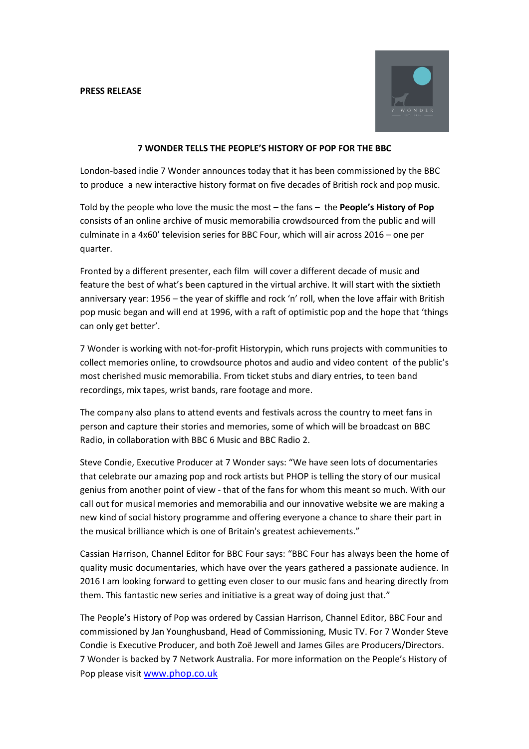**PRESS RELEASE**



## **7 WONDER TELLS THE PEOPLE'S HISTORY OF POP FOR THE BBC**

London-based indie 7 Wonder announces today that it has been commissioned by the BBC to produce a new interactive history format on five decades of British rock and pop music.

Told by the people who love the music the most – the fans – the **People's History of Pop** consists of an online archive of music memorabilia crowdsourced from the public and will culminate in a 4x60' television series for BBC Four, which will air across 2016 – one per quarter.

Fronted by a different presenter, each film will cover a different decade of music and feature the best of what's been captured in the virtual archive. It will start with the sixtieth anniversary year: 1956 – the year of skiffle and rock 'n' roll, when the love affair with British pop music began and will end at 1996, with a raft of optimistic pop and the hope that 'things can only get better'.

7 Wonder is working with not-for-profit Historypin, which runs projects with communities to collect memories online, to crowdsource photos and audio and video content of the public's most cherished music memorabilia. From ticket stubs and diary entries, to teen band recordings, mix tapes, wrist bands, rare footage and more.

The company also plans to attend events and festivals across the country to meet fans in person and capture their stories and memories, some of which will be broadcast on BBC Radio, in collaboration with BBC 6 Music and BBC Radio 2.

Steve Condie, Executive Producer at 7 Wonder says: "We have seen lots of documentaries that celebrate our amazing pop and rock artists but PHOP is telling the story of our musical genius from another point of view - that of the fans for whom this meant so much. With our call out for musical memories and memorabilia and our innovative website we are making a new kind of social history programme and offering everyone a chance to share their part in the musical brilliance which is one of Britain's greatest achievements."

Cassian Harrison, Channel Editor for BBC Four says: "BBC Four has always been the home of quality music documentaries, which have over the years gathered a passionate audience. In 2016 I am looking forward to getting even closer to our music fans and hearing directly from them. This fantastic new series and initiative is a great way of doing just that."

The People's History of Pop was ordered by Cassian Harrison, Channel Editor, BBC Four and commissioned by Jan Younghusband, Head of Commissioning, Music TV. For 7 Wonder Steve Condie is Executive Producer, and both Zoë Jewell and James Giles are Producers/Directors. 7 Wonder is backed by 7 Network Australia. For more information on the People's History of Pop please visit [www.phop.co.uk](http://www.phop.co.uk/)